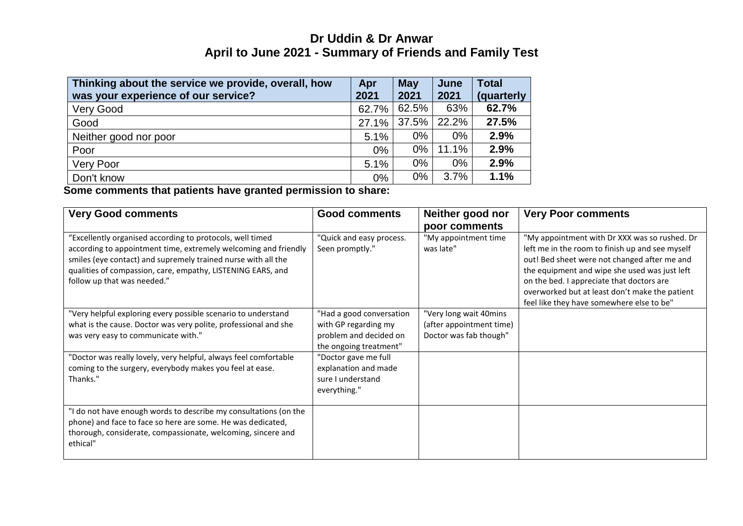## **Dr Uddin & Dr Anwar April to June 2021 - Summary of Friends and Family Test**

| Thinking about the service we provide, overall, how | Apr   | <b>May</b> | June  | <b>Total</b> |
|-----------------------------------------------------|-------|------------|-------|--------------|
| was your experience of our service?                 | 2021  | 2021       | 2021  | (quarterly   |
| Very Good                                           | 62.7% | 62.5%      | 63%   | 62.7%        |
| Good                                                | 27.1% | 37.5%      | 22.2% | 27.5%        |
| Neither good nor poor                               | 5.1%  | $0\%$      | $0\%$ | 2.9%         |
| Poor                                                | 0%    | $0\%$      | 11.1% | 2.9%         |
| <b>Very Poor</b>                                    | 5.1%  | $0\%$      | $0\%$ | 2.9%         |
| Don't know                                          | 0%    | 0%         | 3.7%  | 1.1%         |

**Some comments that patients have granted permission to share:**

| <b>Very Good comments</b>                                                                                                                                                                                                                                                                   | <b>Good comments</b>                                                                                 | Neither good nor<br>poor comments                                            | <b>Very Poor comments</b>                                                                                                                                                                                                                                                                                                                     |
|---------------------------------------------------------------------------------------------------------------------------------------------------------------------------------------------------------------------------------------------------------------------------------------------|------------------------------------------------------------------------------------------------------|------------------------------------------------------------------------------|-----------------------------------------------------------------------------------------------------------------------------------------------------------------------------------------------------------------------------------------------------------------------------------------------------------------------------------------------|
| "Excellently organised according to protocols, well timed<br>according to appointment time, extremely welcoming and friendly<br>smiles (eye contact) and supremely trained nurse with all the<br>qualities of compassion, care, empathy, LISTENING EARS, and<br>follow up that was needed." | "Quick and easy process.<br>Seen promptly."                                                          | "My appointment time<br>was late"                                            | "My appointment with Dr XXX was so rushed. Dr<br>left me in the room to finish up and see myself<br>out! Bed sheet were not changed after me and<br>the equipment and wipe she used was just left<br>on the bed. I appreciate that doctors are<br>overworked but at least don't make the patient<br>feel like they have somewhere else to be" |
| "Very helpful exploring every possible scenario to understand<br>what is the cause. Doctor was very polite, professional and she<br>was very easy to communicate with."                                                                                                                     | "Had a good conversation<br>with GP regarding my<br>problem and decided on<br>the ongoing treatment" | "Very long wait 40mins<br>(after appointment time)<br>Doctor was fab though" |                                                                                                                                                                                                                                                                                                                                               |
| "Doctor was really lovely, very helpful, always feel comfortable<br>coming to the surgery, everybody makes you feel at ease.<br>Thanks."                                                                                                                                                    | "Doctor gave me full<br>explanation and made<br>sure I understand<br>everything."                    |                                                                              |                                                                                                                                                                                                                                                                                                                                               |
| "I do not have enough words to describe my consultations (on the<br>phone) and face to face so here are some. He was dedicated,<br>thorough, considerate, compassionate, welcoming, sincere and<br>ethical"                                                                                 |                                                                                                      |                                                                              |                                                                                                                                                                                                                                                                                                                                               |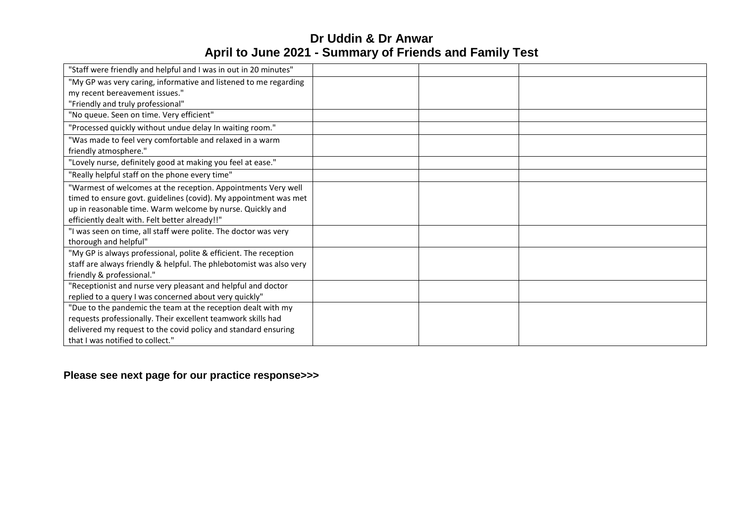# **Dr Uddin & Dr Anwar April to June 2021 - Summary of Friends and Family Test**

| "Staff were friendly and helpful and I was in out in 20 minutes"    |  |  |
|---------------------------------------------------------------------|--|--|
| "My GP was very caring, informative and listened to me regarding    |  |  |
| my recent bereavement issues."                                      |  |  |
| "Friendly and truly professional"                                   |  |  |
| "No queue. Seen on time. Very efficient"                            |  |  |
| "Processed quickly without undue delay In waiting room."            |  |  |
| "Was made to feel very comfortable and relaxed in a warm            |  |  |
| friendly atmosphere."                                               |  |  |
| "Lovely nurse, definitely good at making you feel at ease."         |  |  |
| "Really helpful staff on the phone every time"                      |  |  |
| "Warmest of welcomes at the reception. Appointments Very well       |  |  |
| timed to ensure govt. guidelines (covid). My appointment was met    |  |  |
| up in reasonable time. Warm welcome by nurse. Quickly and           |  |  |
| efficiently dealt with. Felt better already!!"                      |  |  |
| "I was seen on time, all staff were polite. The doctor was very     |  |  |
| thorough and helpful"                                               |  |  |
| "My GP is always professional, polite & efficient. The reception    |  |  |
| staff are always friendly & helpful. The phlebotomist was also very |  |  |
| friendly & professional."                                           |  |  |
| "Receptionist and nurse very pleasant and helpful and doctor        |  |  |
| replied to a query I was concerned about very quickly"              |  |  |
| "Due to the pandemic the team at the reception dealt with my        |  |  |
| requests professionally. Their excellent teamwork skills had        |  |  |
| delivered my request to the covid policy and standard ensuring      |  |  |
| that I was notified to collect."                                    |  |  |

### **Please see next page for our practice response>>>**